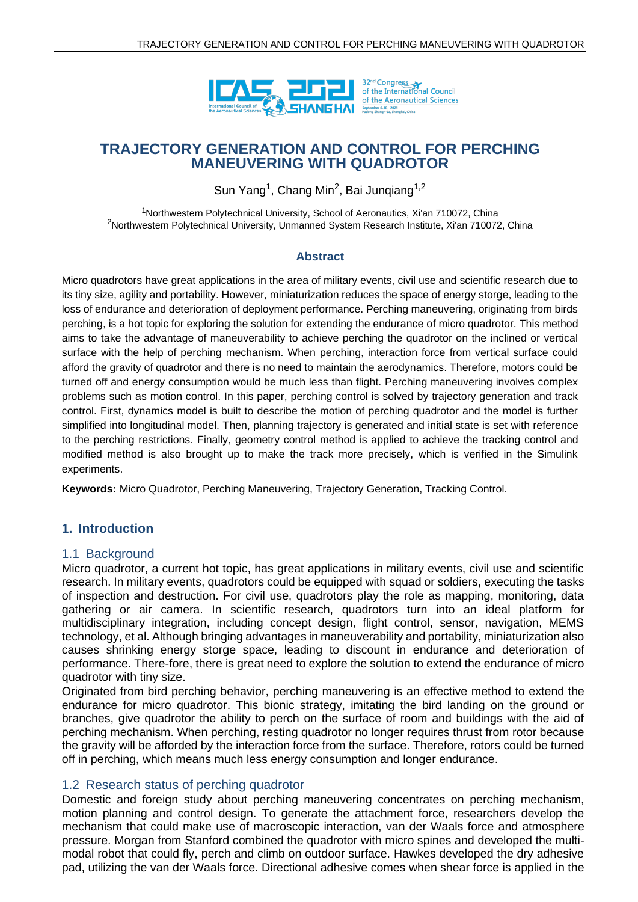

# **TRAJECTORY GENERATION AND CONTROL FOR PERCHING MANEUVERING WITH QUADROTOR**

Sun Yang<sup>1</sup>, Chang Min<sup>2</sup>, Bai Junqiang<sup>1,2</sup>

<sup>1</sup>Northwestern Polytechnical University, School of Aeronautics, Xi'an 710072, China <sup>2</sup>Northwestern Polytechnical University, Unmanned System Research Institute, Xi'an 710072, China

#### **Abstract**

Micro quadrotors have great applications in the area of military events, civil use and scientific research due to its tiny size, agility and portability. However, miniaturization reduces the space of energy storge, leading to the loss of endurance and deterioration of deployment performance. Perching maneuvering, originating from birds perching, is a hot topic for exploring the solution for extending the endurance of micro quadrotor. This method aims to take the advantage of maneuverability to achieve perching the quadrotor on the inclined or vertical surface with the help of perching mechanism. When perching, interaction force from vertical surface could afford the gravity of quadrotor and there is no need to maintain the aerodynamics. Therefore, motors could be turned off and energy consumption would be much less than flight. Perching maneuvering involves complex problems such as motion control. In this paper, perching control is solved by trajectory generation and track control. First, dynamics model is built to describe the motion of perching quadrotor and the model is further simplified into longitudinal model. Then, planning trajectory is generated and initial state is set with reference to the perching restrictions. Finally, geometry control method is applied to achieve the tracking control and modified method is also brought up to make the track more precisely, which is verified in the Simulink experiments.

**Keywords:** Micro Quadrotor, Perching Maneuvering, Trajectory Generation, Tracking Control.

### **1. Introduction**

### 1.1 Background

Micro quadrotor, a current hot topic, has great applications in military events, civil use and scientific research. In military events, quadrotors could be equipped with squad or soldiers, executing the tasks of inspection and destruction. For civil use, quadrotors play the role as mapping, monitoring, data gathering or air camera. In scientific research, quadrotors turn into an ideal platform for multidisciplinary integration, including concept design, flight control, sensor, navigation, MEMS technology, et al. Although bringing advantages in maneuverability and portability, miniaturization also causes shrinking energy storge space, leading to discount in endurance and deterioration of performance. There-fore, there is great need to explore the solution to extend the endurance of micro quadrotor with tiny size.

Originated from bird perching behavior, perching maneuvering is an effective method to extend the endurance for micro quadrotor. This bionic strategy, imitating the bird landing on the ground or branches, give quadrotor the ability to perch on the surface of room and buildings with the aid of perching mechanism. When perching, resting quadrotor no longer requires thrust from rotor because the gravity will be afforded by the interaction force from the surface. Therefore, rotors could be turned off in perching, which means much less energy consumption and longer endurance.

### 1.2 Research status of perching quadrotor

Domestic and foreign study about perching maneuvering concentrates on perching mechanism, motion planning and control design. To generate the attachment force, researchers develop the mechanism that could make use of macroscopic interaction, van der Waals force and atmosphere pressure. Morgan from Stanford combined the quadrotor with micro spines and developed the multimodal robot that could fly, perch and climb on outdoor surface. Hawkes developed the dry adhesive pad, utilizing the van der Waals force. Directional adhesive comes when shear force is applied in the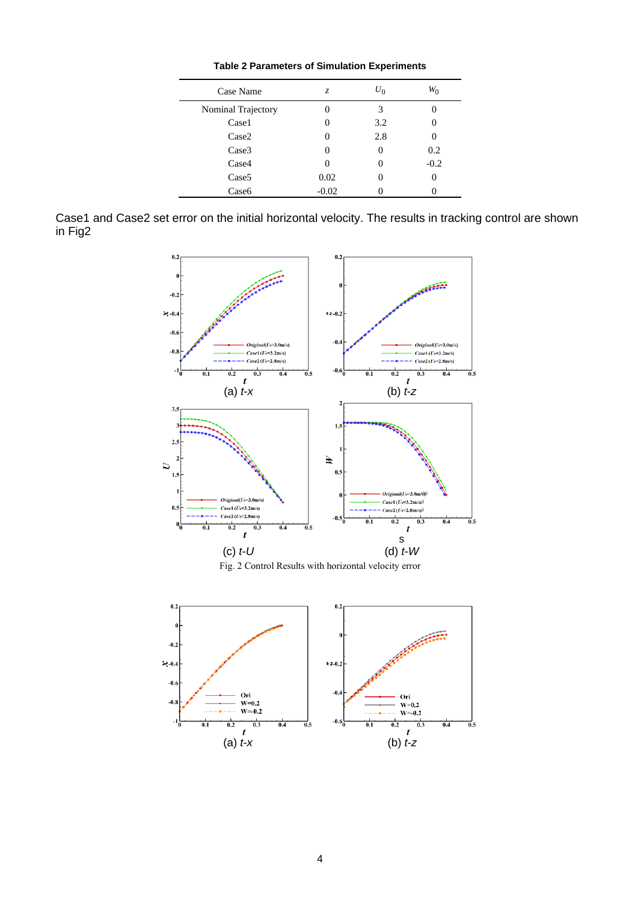| Case Name          | Z.      | $U_0$ |        |
|--------------------|---------|-------|--------|
| Nominal Trajectory |         | 3     |        |
| Case1              |         | 3.2   |        |
| Case2              |         | 2.8   |        |
| Case3              |         |       | 0.2    |
| Case4              |         |       | $-0.2$ |
| Case <sub>5</sub>  | 0.02    |       |        |
| Case <sub>6</sub>  | $-0.02$ |       |        |

Case1 and Case2 set error on the initial horizontal velocity. The results in tracking control are shown in Fig2



Fig. 2 Control Results with horizontal velocity error

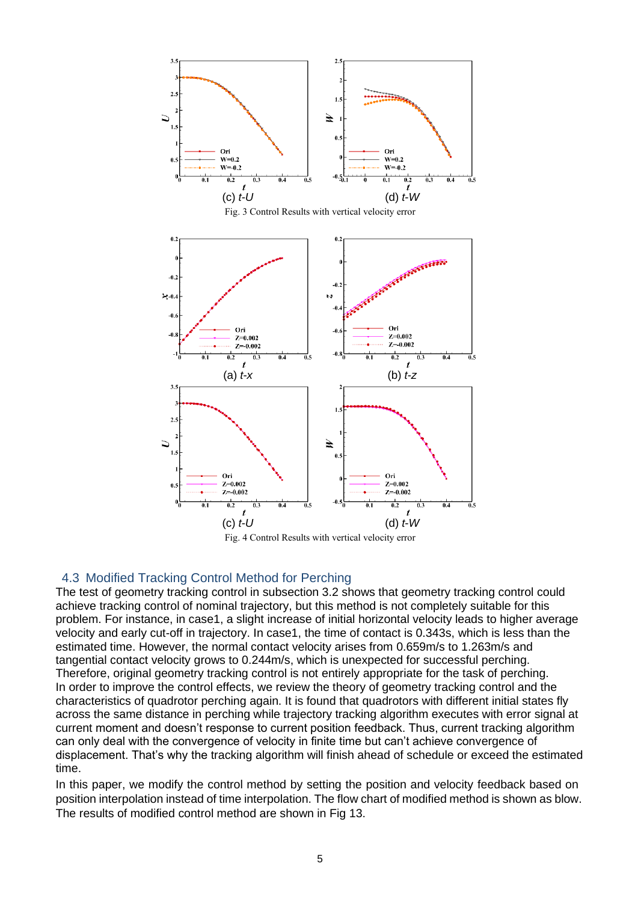

### 4.3 Modified Tracking Control Method for Perching

The test of geometry tracking control in subsection 3.2 shows that geometry tracking control could achieve tracking control of nominal trajectory, but this method is not completely suitable for this problem. For instance, in case1, a slight increase of initial horizontal velocity leads to higher average velocity and early cut-off in trajectory. In case1, the time of contact is 0.343s, which is less than the estimated time. However, the normal contact velocity arises from 0.659m/s to 1.263m/s and tangential contact velocity grows to 0.244m/s, which is unexpected for successful perching. Therefore, original geometry tracking control is not entirely appropriate for the task of perching. In order to improve the control effects, we review the theory of geometry tracking control and the characteristics of quadrotor perching again. It is found that quadrotors with different initial states fly across the same distance in perching while trajectory tracking algorithm executes with error signal at current moment and doesn't response to current position feedback. Thus, current tracking algorithm can only deal with the convergence of velocity in finite time but can't achieve convergence of displacement. That's why the tracking algorithm will finish ahead of schedule or exceed the estimated time.

In this paper, we modify the control method by setting the position and velocity feedback based on position interpolation instead of time interpolation. The flow chart of modified method is shown as blow. The results of modified control method are shown in Fig 13.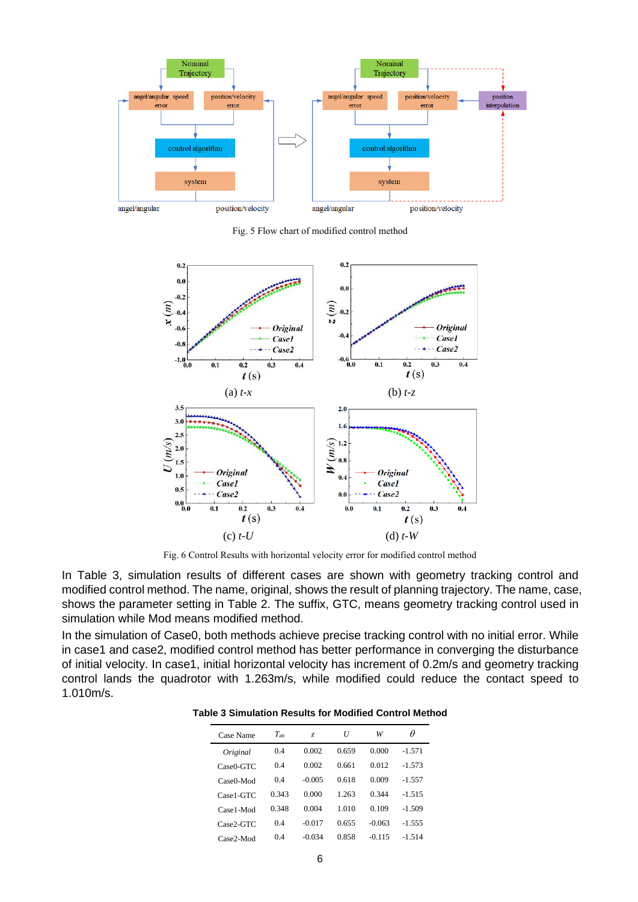![](_page_10_Figure_0.jpeg)

Fig. 5 Flow chart of modified control method

![](_page_10_Figure_2.jpeg)

Fig. 6 Control Results with horizontal velocity error for modified control method

In Table 3, simulation results of different cases are shown with geometry tracking control and modified control method. The name, original, shows the result of planning trajectory. The name, case, shows the parameter setting in Table 2. The suffix, GTC, means geometry tracking control used in simulation while Mod means modified method.

In the simulation of Case0, both methods achieve precise tracking control with no initial error. While in case1 and case2, modified control method has better performance in converging the disturbance of initial velocity. In case1, initial horizontal velocity has increment of 0.2m/s and geometry tracking control lands the quadrotor with 1.263m/s, while modified could reduce the contact speed to 1.010m/s.

| Case Name    | $T_{\rm att}$ | Z.       | U     | W        | θ        |
|--------------|---------------|----------|-------|----------|----------|
| Original     | 04            | 0.002    | 0.659 | 0.000    | $-1.571$ |
| $Case0-GTC$  | 04            | 0.002    | 0.661 | 0.012    | $-1.573$ |
| $Case0$ -Mod | 04            | $-0.005$ | 0.618 | 0.009    | $-1.557$ |
| Case1-GTC    | 0.343         | 0.000    | 1 263 | 0 3 4 4  | $-1.515$ |
| Case1-Mod    | 0.348         | 0.004    | 1 010 | 0.109    | $-1.509$ |
| Case2-GTC    | 04            | $-0.017$ | 0.655 | $-0.063$ | $-1.555$ |
| Case2-Mod    | 04            | $-0.034$ | 0.858 | $-0.115$ | $-1,514$ |

**Table 3 Simulation Results for Modified Control Method**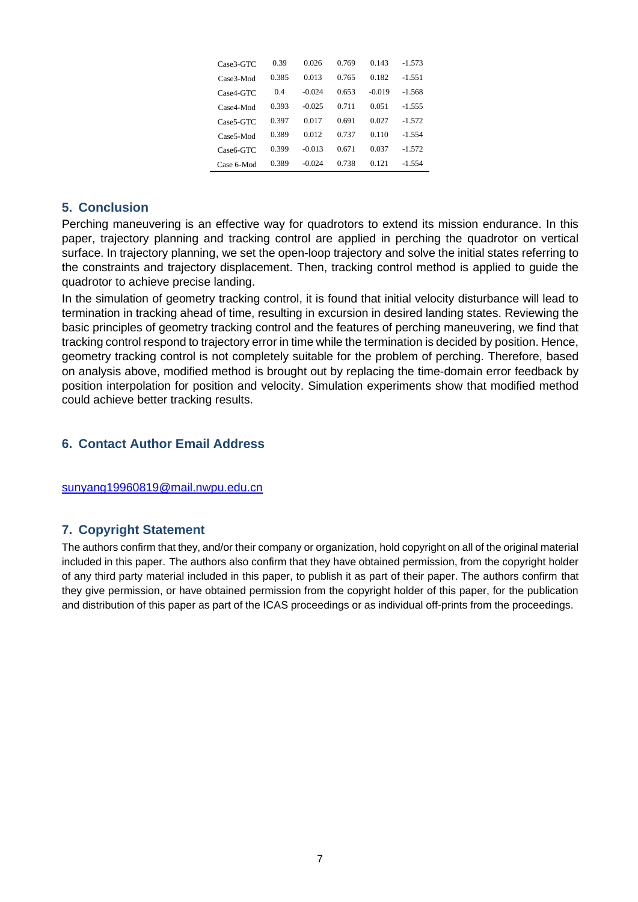| Case3-GTC              | 0.39  | 0.026    | 0.769 | 0.143    | $-1.573$ |
|------------------------|-------|----------|-------|----------|----------|
| Case3-Mod              | 0.385 | 0.013    | 0.765 | 0.182    | $-1.551$ |
| $Case4-GTC$            | 04    | $-0.024$ | 0.653 | $-0.019$ | $-1.568$ |
| Case4-Mod              | 0.393 | $-0.025$ | 0.711 | 0.051    | $-1.555$ |
| Case5-GTC              | 0.397 | 0.017    | 0.691 | 0.027    | $-1,572$ |
| Case <sub>5</sub> -Mod | 0.389 | 0.012    | 0.737 | 0.110    | $-1.554$ |
| Case6-GTC              | 0.399 | $-0.013$ | 0.671 | 0.037    | $-1,572$ |
| Case 6-Mod             | 0.389 | $-0.024$ | 0.738 | 0.121    | $-1.554$ |

## **5. Conclusion**

Perching maneuvering is an effective way for quadrotors to extend its mission endurance. In this paper, trajectory planning and tracking control are applied in perching the quadrotor on vertical surface. In trajectory planning, we set the open-loop trajectory and solve the initial states referring to the constraints and trajectory displacement. Then, tracking control method is applied to guide the quadrotor to achieve precise landing.

In the simulation of geometry tracking control, it is found that initial velocity disturbance will lead to termination in tracking ahead of time, resulting in excursion in desired landing states. Reviewing the basic principles of geometry tracking control and the features of perching maneuvering, we find that tracking control respond to trajectory error in time while the termination is decided by position. Hence, geometry tracking control is not completely suitable for the problem of perching. Therefore, based on analysis above, modified method is brought out by replacing the time-domain error feedback by position interpolation for position and velocity. Simulation experiments show that modified method could achieve better tracking results.

# **6. Contact Author Email Address**

[sunyang19960819@mail.nwpu.edu.cn](mailto:sunyang19960819@mail.nwpu.edu.cn)

### **7. Copyright Statement**

The authors confirm that they, and/or their company or organization, hold copyright on all of the original material included in this paper. The authors also confirm that they have obtained permission, from the copyright holder of any third party material included in this paper, to publish it as part of their paper. The authors confirm that they give permission, or have obtained permission from the copyright holder of this paper, for the publication and distribution of this paper as part of the ICAS proceedings or as individual off-prints from the proceedings.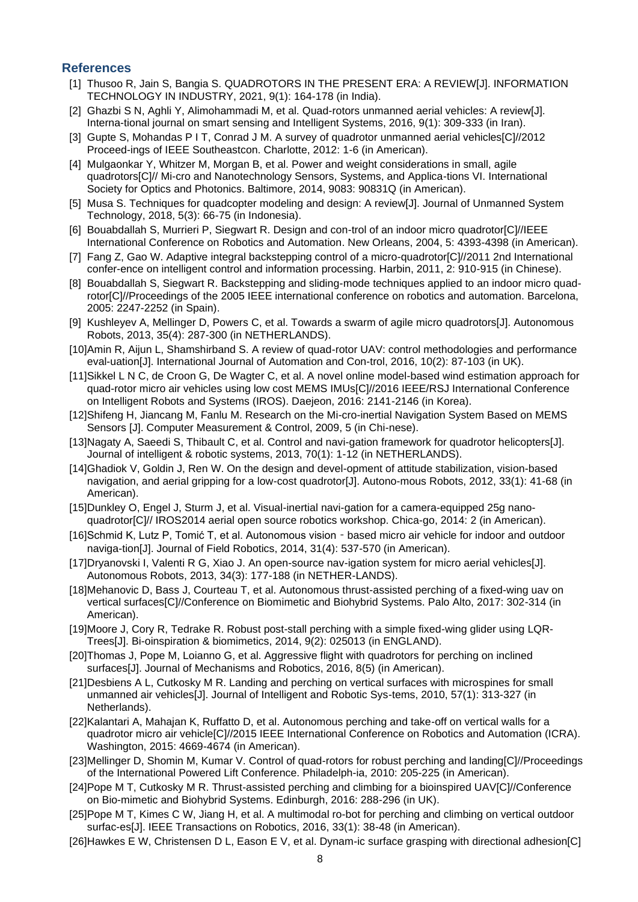### **References**

- [1] Thusoo R, Jain S, Bangia S. QUADROTORS IN THE PRESENT ERA: A REVIEW[J]. INFORMATION TECHNOLOGY IN INDUSTRY, 2021, 9(1): 164-178 (in India).
- [2] Ghazbi S N, Aghli Y, Alimohammadi M, et al. Quad-rotors unmanned aerial vehicles: A review[J]. Interna-tional journal on smart sensing and Intelligent Systems, 2016, 9(1): 309-333 (in Iran).
- [3] Gupte S, Mohandas P I T, Conrad J M. A survey of quadrotor unmanned aerial vehicles[C]//2012 Proceed-ings of IEEE Southeastcon. Charlotte, 2012: 1-6 (in American).
- [4] Mulgaonkar Y, Whitzer M, Morgan B, et al. Power and weight considerations in small, agile quadrotors[C]// Mi-cro and Nanotechnology Sensors, Systems, and Applica-tions VI. International Society for Optics and Photonics. Baltimore, 2014, 9083: 90831Q (in American).
- [5] Musa S. Techniques for quadcopter modeling and design: A review[J]. Journal of Unmanned System Technology, 2018, 5(3): 66-75 (in Indonesia).
- [6] Bouabdallah S, Murrieri P, Siegwart R. Design and con-trol of an indoor micro quadrotor[C]//IEEE International Conference on Robotics and Automation. New Orleans, 2004, 5: 4393-4398 (in American).
- [7] Fang Z, Gao W. Adaptive integral backstepping control of a micro-quadrotor[C]//2011 2nd International confer-ence on intelligent control and information processing. Harbin, 2011, 2: 910-915 (in Chinese).
- [8] Bouabdallah S, Siegwart R. Backstepping and sliding-mode techniques applied to an indoor micro quadrotor[C]//Proceedings of the 2005 IEEE international conference on robotics and automation. Barcelona, 2005: 2247-2252 (in Spain).
- [9] Kushleyev A, Mellinger D, Powers C, et al. Towards a swarm of agile micro quadrotors[J]. Autonomous Robots, 2013, 35(4): 287-300 (in NETHERLANDS).
- [10]Amin R, Aijun L, Shamshirband S. A review of quad-rotor UAV: control methodologies and performance eval-uation[J]. International Journal of Automation and Con-trol, 2016, 10(2): 87-103 (in UK).
- [11]Sikkel L N C, de Croon G, De Wagter C, et al. A novel online model-based wind estimation approach for quad-rotor micro air vehicles using low cost MEMS IMUs[C]//2016 IEEE/RSJ International Conference on Intelligent Robots and Systems (IROS). Daejeon, 2016: 2141-2146 (in Korea).
- [12]Shifeng H, Jiancang M, Fanlu M. Research on the Mi-cro-inertial Navigation System Based on MEMS Sensors [J]. Computer Measurement & Control, 2009, 5 (in Chi-nese).
- [13]Nagaty A, Saeedi S, Thibault C, et al. Control and navi-gation framework for quadrotor helicopters[J]. Journal of intelligent & robotic systems, 2013, 70(1): 1-12 (in NETHERLANDS).
- [14]Ghadiok V, Goldin J, Ren W. On the design and devel-opment of attitude stabilization, vision-based navigation, and aerial gripping for a low-cost quadrotor[J]. Autono-mous Robots, 2012, 33(1): 41-68 (in American).
- [15]Dunkley O, Engel J, Sturm J, et al. Visual-inertial navi-gation for a camera-equipped 25g nanoquadrotor[C]// IROS2014 aerial open source robotics workshop. Chica-go, 2014: 2 (in American).
- [16]Schmid K, Lutz P, Tomić T, et al. Autonomous vision based micro air vehicle for indoor and outdoor naviga-tion[J]. Journal of Field Robotics, 2014, 31(4): 537-570 (in American).
- [17]Dryanovski I, Valenti R G, Xiao J. An open-source nav-igation system for micro aerial vehicles[J]. Autonomous Robots, 2013, 34(3): 177-188 (in NETHER-LANDS).
- [18]Mehanovic D, Bass J, Courteau T, et al. Autonomous thrust-assisted perching of a fixed-wing uav on vertical surfaces[C]//Conference on Biomimetic and Biohybrid Systems. Palo Alto, 2017: 302-314 (in American).
- [19]Moore J, Cory R, Tedrake R. Robust post-stall perching with a simple fixed-wing glider using LQR-Trees[J]. Bi-oinspiration & biomimetics, 2014, 9(2): 025013 (in ENGLAND).
- [20]Thomas J, Pope M, Loianno G, et al. Aggressive flight with quadrotors for perching on inclined surfaces[J]. Journal of Mechanisms and Robotics, 2016, 8(5) (in American).
- [21]Desbiens A L, Cutkosky M R. Landing and perching on vertical surfaces with microspines for small unmanned air vehicles[J]. Journal of Intelligent and Robotic Sys-tems, 2010, 57(1): 313-327 (in Netherlands).
- [22]Kalantari A, Mahajan K, Ruffatto D, et al. Autonomous perching and take-off on vertical walls for a quadrotor micro air vehicle[C]//2015 IEEE International Conference on Robotics and Automation (ICRA). Washington, 2015: 4669-4674 (in American).
- [23]Mellinger D, Shomin M, Kumar V. Control of quad-rotors for robust perching and landing[C]//Proceedings of the International Powered Lift Conference. Philadelph-ia, 2010: 205-225 (in American).
- [24]Pope M T, Cutkosky M R. Thrust-assisted perching and climbing for a bioinspired UAV[C]//Conference on Bio-mimetic and Biohybrid Systems. Edinburgh, 2016: 288-296 (in UK).
- [25]Pope M T, Kimes C W, Jiang H, et al. A multimodal ro-bot for perching and climbing on vertical outdoor surfac-es[J]. IEEE Transactions on Robotics, 2016, 33(1): 38-48 (in American).
- [26]Hawkes E W, Christensen D L, Eason E V, et al. Dynam-ic surface grasping with directional adhesion[C]